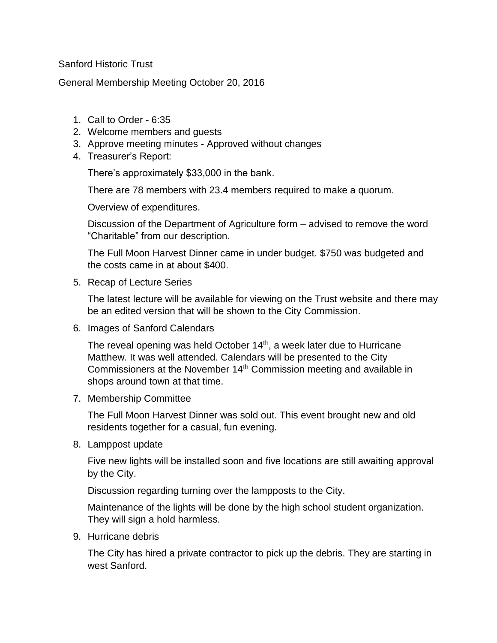Sanford Historic Trust

General Membership Meeting October 20, 2016

- 1. Call to Order 6:35
- 2. Welcome members and guests
- 3. Approve meeting minutes Approved without changes
- 4. Treasurer's Report:

There's approximately \$33,000 in the bank.

There are 78 members with 23.4 members required to make a quorum.

Overview of expenditures.

Discussion of the Department of Agriculture form – advised to remove the word "Charitable" from our description.

The Full Moon Harvest Dinner came in under budget. \$750 was budgeted and the costs came in at about \$400.

5. Recap of Lecture Series

The latest lecture will be available for viewing on the Trust website and there may be an edited version that will be shown to the City Commission.

6. Images of Sanford Calendars

The reveal opening was held October 14<sup>th</sup>, a week later due to Hurricane Matthew. It was well attended. Calendars will be presented to the City Commissioners at the November 14th Commission meeting and available in shops around town at that time.

7. Membership Committee

The Full Moon Harvest Dinner was sold out. This event brought new and old residents together for a casual, fun evening.

8. Lamppost update

Five new lights will be installed soon and five locations are still awaiting approval by the City.

Discussion regarding turning over the lampposts to the City.

Maintenance of the lights will be done by the high school student organization. They will sign a hold harmless.

9. Hurricane debris

The City has hired a private contractor to pick up the debris. They are starting in west Sanford.